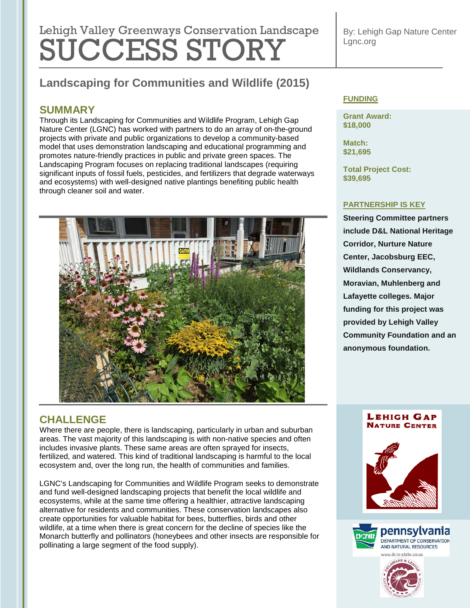# Lehigh Valley Greenways Conservation Landscape SUCCESS STORY

By: Lehigh Gap Nature Center Lgnc.org

## **Landscaping for Communities and Wildlife (2015)**

## **SUMMARY**

Through its Landscaping for Communities and Wildlife Program, Lehigh Gap Nature Center (LGNC) has worked with partners to do an array of on-the-ground projects with private and public organizations to develop a community-based model that uses demonstration landscaping and educational programming and promotes nature-friendly practices in public and private green spaces. The Landscaping Program focuses on replacing traditional landscapes (requiring significant inputs of fossil fuels, pesticides, and fertilizers that degrade waterways and ecosystems) with well-designed native plantings benefiting public health through cleaner soil and water.



## **CHALLENGE**

Where there are people, there is landscaping, particularly in urban and suburban areas. The vast majority of this landscaping is with non-native species and often includes invasive plants. These same areas are often sprayed for insects, fertilized, and watered. This kind of traditional landscaping is harmful to the local ecosystem and, over the long run, the health of communities and families.

LGNC's Landscaping for Communities and Wildlife Program seeks to demonstrate and fund well-designed landscaping projects that benefit the local wildlife and ecosystems, while at the same time offering a healthier, attractive landscaping alternative for residents and communities. These conservation landscapes also create opportunities for valuable habitat for bees, butterflies, birds and other wildlife, at a time when there is great concern for the decline of species like the Monarch butterfly and pollinators (honeybees and other insects are responsible for pollinating a large segment of the food supply).

## **FUNDING**

**Grant Award: \$18,000**

**Match: \$21,695**

**Total Project Cost: \$39,695**

## **PARTNERSHIP IS KEY**

**Steering Committee partners include D&L National Heritage Corridor, Nurture Nature Center, Jacobsburg EEC, Wildlands Conservancy, Moravian, Muhlenberg and Lafayette colleges. Major funding for this project was provided by Lehigh Valley Community Foundation and an anonymous foundation.**

#### **LEHIGH GAP NATURE CENTER**